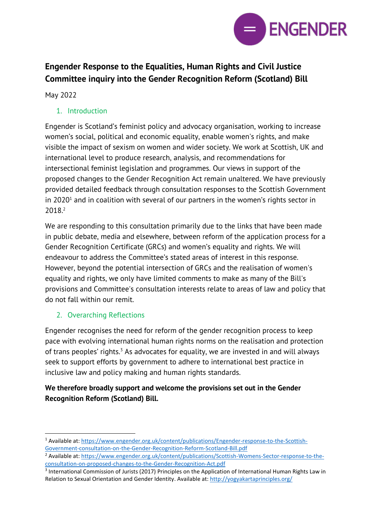

# **Engender Response to the Equalities, Human Rights and Civil Justice Committee inquiry into the Gender Recognition Reform (Scotland) Bill**

May 2022

## 1. Introduction

Engender is Scotland's feminist policy and advocacy organisation, working to increase women's social, political and economic equality, enable women's rights, and make visible the impact of sexism on women and wider society. We work at Scottish, UK and international level to produce research, analysis, and recommendations for intersectional feminist legislation and programmes. Our views in support of the proposed changes to the Gender Recognition Act remain unaltered. We have previously provided detailed feedback through consultation responses to the Scottish Government in 2020<sup>1</sup> and in coalition with several of our partners in the women's rights sector in 2018. 2

We are responding to this consultation primarily due to the links that have been made in public debate, media and elsewhere, between reform of the application process for a Gender Recognition Certificate (GRCs) and women's equality and rights. We will endeavour to address the Committee's stated areas of interest in this response. However, beyond the potential intersection of GRCs and the realisation of women's equality and rights, we only have limited comments to make as many of the Bill's provisions and Committee's consultation interests relate to areas of law and policy that do not fall within our remit.

#### 2. Overarching Reflections

**.** 

Engender recognises the need for reform of the gender recognition process to keep pace with evolving international human rights norms on the realisation and protection of trans peoples' rights. $3$  As advocates for equality, we are invested in and will always seek to support efforts by government to adhere to international best practice in inclusive law and policy making and human rights standards.

# **We therefore broadly support and welcome the provisions set out in the Gender Recognition Reform (Scotland) Bill.**

<sup>1</sup> Available at: [https://www.engender.org.uk/content/publications/Engender-response-to-the-Scottish-](https://www.engender.org.uk/content/publications/Engender-response-to-the-Scottish-Government-consultation-on-the-Gender-Recognition-Reform-Scotland-Bill.pdf)[Government-consultation-on-the-Gender-Recognition-Reform-Scotland-Bill.pdf](https://www.engender.org.uk/content/publications/Engender-response-to-the-Scottish-Government-consultation-on-the-Gender-Recognition-Reform-Scotland-Bill.pdf)

<sup>&</sup>lt;sup>2</sup> Available at: [https://www.engender.org.uk/content/publications/Scottish-Womens-Sector-response-to-the](https://www.engender.org.uk/content/publications/Scottish-Womens-Sector-response-to-the-consultation-on-proposed-changes-to-the-Gender-Recognition-Act.pdf)[consultation-on-proposed-changes-to-the-Gender-Recognition-Act.pdf](https://www.engender.org.uk/content/publications/Scottish-Womens-Sector-response-to-the-consultation-on-proposed-changes-to-the-Gender-Recognition-Act.pdf)

<sup>&</sup>lt;sup>3</sup> International Commission of Jurists (2017) Principles on the Application of International Human Rights Law in Relation to Sexual Orientation and Gender Identity. Available at[: http://yogyakartaprinciples.org/](http://yogyakartaprinciples.org/)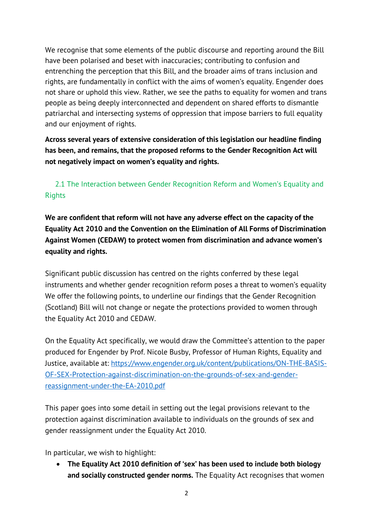We recognise that some elements of the public discourse and reporting around the Bill have been polarised and beset with inaccuracies; contributing to confusion and entrenching the perception that this Bill, and the broader aims of trans inclusion and rights, are fundamentally in conflict with the aims of women's equality. Engender does not share or uphold this view. Rather, we see the paths to equality for women and trans people as being deeply interconnected and dependent on shared efforts to dismantle patriarchal and intersecting systems of oppression that impose barriers to full equality and our enjoyment of rights.

**Across several years of extensive consideration of this legislation our headline finding has been, and remains, that the proposed reforms to the Gender Recognition Act will not negatively impact on women's equality and rights.** 

 2.1 The Interaction between Gender Recognition Reform and Women's Equality and **Rights** 

**We are confident that reform will not have any adverse effect on the capacity of the Equality Act 2010 and the Convention on the Elimination of All Forms of Discrimination Against Women (CEDAW) to protect women from discrimination and advance women's equality and rights.** 

Significant public discussion has centred on the rights conferred by these legal instruments and whether gender recognition reform poses a threat to women's equality We offer the following points, to underline our findings that the Gender Recognition (Scotland) Bill will not change or negate the protections provided to women through the Equality Act 2010 and CEDAW.

On the Equality Act specifically, we would draw the Committee's attention to the paper produced for Engender by Prof. Nicole Busby, Professor of Human Rights, Equality and Justice, available at: [https://www.engender.org.uk/content/publications/ON-THE-BASIS-](https://www.engender.org.uk/content/publications/ON-THE-BASIS-OF-SEX-Protection-against-discrimination-on-the-grounds-of-sex-and-gender-reassignment-under-the-EA-2010.pdf)[OF-SEX-Protection-against-discrimination-on-the-grounds-of-sex-and-gender](https://www.engender.org.uk/content/publications/ON-THE-BASIS-OF-SEX-Protection-against-discrimination-on-the-grounds-of-sex-and-gender-reassignment-under-the-EA-2010.pdf)[reassignment-under-the-EA-2010.pdf](https://www.engender.org.uk/content/publications/ON-THE-BASIS-OF-SEX-Protection-against-discrimination-on-the-grounds-of-sex-and-gender-reassignment-under-the-EA-2010.pdf)

This paper goes into some detail in setting out the legal provisions relevant to the protection against discrimination available to individuals on the grounds of sex and gender reassignment under the Equality Act 2010.

In particular, we wish to highlight:

 **The Equality Act 2010 definition of 'sex' has been used to include both biology and socially constructed gender norms.** The Equality Act recognises that women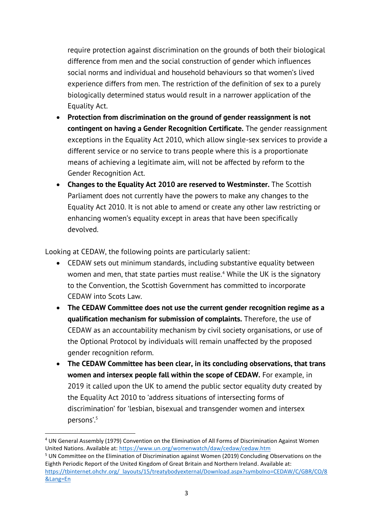require protection against discrimination on the grounds of both their biological difference from men and the social construction of gender which influences social norms and individual and household behaviours so that women's lived experience differs from men. The restriction of the definition of sex to a purely biologically determined status would result in a narrower application of the Equality Act.

- **Protection from discrimination on the ground of gender reassignment is not contingent on having a Gender Recognition Certificate.** The gender reassignment exceptions in the Equality Act 2010, which allow single-sex services to provide a different service or no service to trans people where this is a proportionate means of achieving a legitimate aim, will not be affected by reform to the Gender Recognition Act.
- **Changes to the Equality Act 2010 are reserved to Westminster.** The Scottish Parliament does not currently have the powers to make any changes to the Equality Act 2010. It is not able to amend or create any other law restricting or enhancing women's equality except in areas that have been specifically devolved.

Looking at CEDAW, the following points are particularly salient:

- CEDAW sets out minimum standards, including substantive equality between women and men, that state parties must realise.<sup>4</sup> While the UK is the signatory to the Convention, the Scottish Government has committed to incorporate CEDAW into Scots Law.
- **The CEDAW Committee does not use the current gender recognition regime as a qualification mechanism for submission of complaints.** Therefore, the use of CEDAW as an accountability mechanism by civil society organisations, or use of the Optional Protocol by individuals will remain unaffected by the proposed gender recognition reform.
- **The CEDAW Committee has been clear, in its concluding observations, that trans women and intersex people fall within the scope of CEDAW.** For example, in 2019 it called upon the UK to amend the public sector equality duty created by the Equality Act 2010 to 'address situations of intersecting forms of discrimination' for 'lesbian, bisexual and transgender women and intersex persons'.<sup>5</sup>

**<sup>.</sup>** <sup>4</sup> UN General Assembly (1979) Convention on the Elimination of All Forms of Discrimination Against Women United Nations. Available at:<https://www.un.org/womenwatch/daw/cedaw/cedaw.htm>

<sup>5</sup> UN Committee on the Elimination of Discrimination against Women (2019) Concluding Observations on the Eighth Periodic Report of the United Kingdom of Great Britain and Northern Ireland. Available at: [https://tbinternet.ohchr.org/\\_layouts/15/treatybodyexternal/Download.aspx?symbolno=CEDAW/C/GBR/CO/8](https://tbinternet.ohchr.org/_layouts/15/treatybodyexternal/Download.aspx?symbolno=CEDAW/C/GBR/CO/8&Lang=En) [&Lang=En](https://tbinternet.ohchr.org/_layouts/15/treatybodyexternal/Download.aspx?symbolno=CEDAW/C/GBR/CO/8&Lang=En)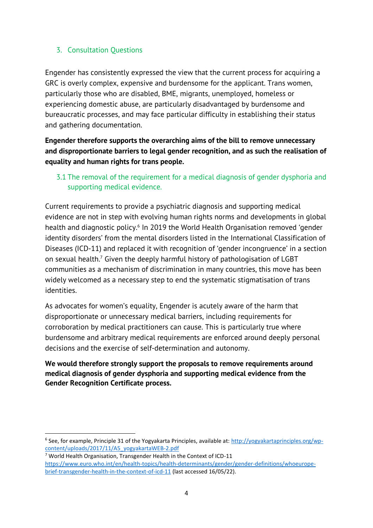# 3. Consultation Questions

Engender has consistently expressed the view that the current process for acquiring a GRC is overly complex, expensive and burdensome for the applicant. Trans women, particularly those who are disabled, BME, migrants, unemployed, homeless or experiencing domestic abuse, are particularly disadvantaged by burdensome and bureaucratic processes, and may face particular difficulty in establishing their status and gathering documentation.

**Engender therefore supports the overarching aims of the bill to remove unnecessary and disproportionate barriers to legal gender recognition, and as such the realisation of equality and human rights for trans people.**

# 3.1 The removal of the requirement for a medical diagnosis of gender dysphoria and supporting medical evidence.

Current requirements to provide a psychiatric diagnosis and supporting medical evidence are not in step with evolving human rights norms and developments in global health and diagnostic policy.<sup>6</sup> In 2019 the World Health Organisation removed 'gender identity disorders' from the mental disorders listed in the International Classification of Diseases (ICD-11) and replaced it with recognition of 'gender incongruence' in a section on sexual health.<sup>7</sup> Given the deeply harmful history of pathologisation of LGBT communities as a mechanism of discrimination in many countries, this move has been widely welcomed as a necessary step to end the systematic stigmatisation of trans identities.

As advocates for women's equality, Engender is acutely aware of the harm that disproportionate or unnecessary medical barriers, including requirements for corroboration by medical practitioners can cause. This is particularly true where burdensome and arbitrary medical requirements are enforced around deeply personal decisions and the exercise of self-determination and autonomy.

# **We would therefore strongly support the proposals to remove requirements around medical diagnosis of gender dysphoria and supporting medical evidence from the Gender Recognition Certificate process.**

**<sup>.</sup>** <sup>6</sup> See, for example, Principle 31 of the Yogyakarta Principles, available at: [http://yogyakartaprinciples.org/wp](http://yogyakartaprinciples.org/wp-content/uploads/2017/11/A5_yogyakartaWEB-2.pdf)[content/uploads/2017/11/A5\\_yogyakartaWEB-2.pdf](http://yogyakartaprinciples.org/wp-content/uploads/2017/11/A5_yogyakartaWEB-2.pdf)

<sup>7</sup> World Health Organisation, Transgender Health in the Context of ICD-11 [https://www.euro.who.int/en/health-topics/health-determinants/gender/gender-definitions/whoeurope](https://www.euro.who.int/en/health-topics/health-determinants/gender/gender-definitions/whoeurope-brief-transgender-health-in-the-context-of-icd-11)[brief-transgender-health-in-the-context-of-icd-11](https://www.euro.who.int/en/health-topics/health-determinants/gender/gender-definitions/whoeurope-brief-transgender-health-in-the-context-of-icd-11) (last accessed 16/05/22).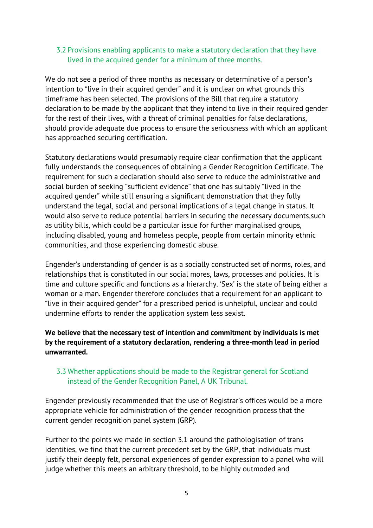#### 3.2 Provisions enabling applicants to make a statutory declaration that they have lived in the acquired gender for a minimum of three months.

We do not see a period of three months as necessary or determinative of a person's intention to "live in their acquired gender" and it is unclear on what grounds this timeframe has been selected. The provisions of the Bill that require a statutory declaration to be made by the applicant that they intend to live in their required gender for the rest of their lives, with a threat of criminal penalties for false declarations, should provide adequate due process to ensure the seriousness with which an applicant has approached securing certification.

Statutory declarations would presumably require clear confirmation that the applicant fully understands the consequences of obtaining a Gender Recognition Certificate. The requirement for such a declaration should also serve to reduce the administrative and social burden of seeking "sufficient evidence" that one has suitably "lived in the acquired gender" while still ensuring a significant demonstration that they fully understand the legal, social and personal implications of a legal change in status. It would also serve to reduce potential barriers in securing the necessary documents,such as utility bills, which could be a particular issue for further marginalised groups, including disabled, young and homeless people, people from certain minority ethnic communities, and those experiencing domestic abuse.

Engender's understanding of gender is as a socially constructed set of norms, roles, and relationships that is constituted in our social mores, laws, processes and policies. It is time and culture specific and functions as a hierarchy. 'Sex' is the state of being either a woman or a man. Engender therefore concludes that a requirement for an applicant to "live in their acquired gender" for a prescribed period is unhelpful, unclear and could undermine efforts to render the application system less sexist.

**We believe that the necessary test of intention and commitment by individuals is met by the requirement of a statutory declaration, rendering a three-month lead in period unwarranted.** 

## 3.3 Whether applications should be made to the Registrar general for Scotland instead of the Gender Recognition Panel, A UK Tribunal.

Engender previously recommended that the use of Registrar's offices would be a more appropriate vehicle for administration of the gender recognition process that the current gender recognition panel system (GRP).

Further to the points we made in section 3.1 around the pathologisation of trans identities, we find that the current precedent set by the GRP, that individuals must justify their deeply felt, personal experiences of gender expression to a panel who will judge whether this meets an arbitrary threshold, to be highly outmoded and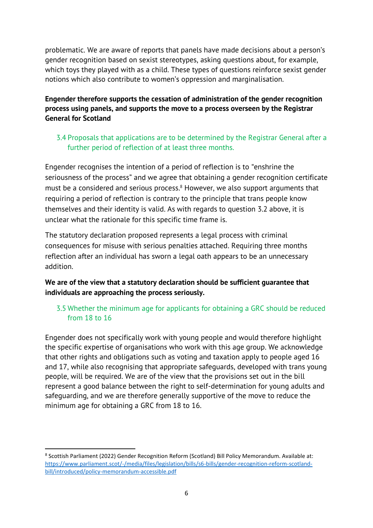problematic. We are aware of reports that panels have made decisions about a person's gender recognition based on sexist stereotypes, asking questions about, for example, which toys they played with as a child. These types of questions reinforce sexist gender notions which also contribute to women's oppression and marginalisation.

# **Engender therefore supports the cessation of administration of the gender recognition process using panels, and supports the move to a process overseen by the Registrar General for Scotland**

## 3.4 Proposals that applications are to be determined by the Registrar General after a further period of reflection of at least three months.

Engender recognises the intention of a period of reflection is to "enshrine the seriousness of the process" and we agree that obtaining a gender recognition certificate must be a considered and serious process. <sup>8</sup> However, we also support arguments that requiring a period of reflection is contrary to the principle that trans people know themselves and their identity is valid. As with regards to question 3.2 above, it is unclear what the rationale for this specific time frame is.

The statutory declaration proposed represents a legal process with criminal consequences for misuse with serious penalties attached. Requiring three months reflection after an individual has sworn a legal oath appears to be an unnecessary addition.

## **We are of the view that a statutory declaration should be sufficient guarantee that individuals are approaching the process seriously.**

# 3.5 Whether the minimum age for applicants for obtaining a GRC should be reduced from 18 to 16

Engender does not specifically work with young people and would therefore highlight the specific expertise of organisations who work with this age group. We acknowledge that other rights and obligations such as voting and taxation apply to people aged 16 and 17, while also recognising that appropriate safeguards, developed with trans young people, will be required. We are of the view that the provisions set out in the bill represent a good balance between the right to self-determination for young adults and safeguarding, and we are therefore generally supportive of the move to reduce the minimum age for obtaining a GRC from 18 to 16.

**.** 

<sup>8</sup> Scottish Parliament (2022) Gender Recognition Reform (Scotland) Bill Policy Memorandum. Available at: [https://www.parliament.scot/-/media/files/legislation/bills/s6-bills/gender-recognition-reform-scotland](https://www.parliament.scot/-/media/files/legislation/bills/s6-bills/gender-recognition-reform-scotland-bill/introduced/policy-memorandum-accessible.pdf)[bill/introduced/policy-memorandum-accessible.pdf](https://www.parliament.scot/-/media/files/legislation/bills/s6-bills/gender-recognition-reform-scotland-bill/introduced/policy-memorandum-accessible.pdf)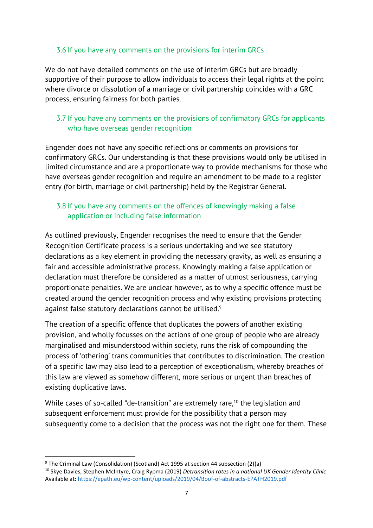#### 3.6 If you have any comments on the provisions for interim GRCs

We do not have detailed comments on the use of interim GRCs but are broadly supportive of their purpose to allow individuals to access their legal rights at the point where divorce or dissolution of a marriage or civil partnership coincides with a GRC process, ensuring fairness for both parties.

# 3.7 If you have any comments on the provisions of confirmatory GRCs for applicants who have overseas gender recognition

Engender does not have any specific reflections or comments on provisions for confirmatory GRCs. Our understanding is that these provisions would only be utilised in limited circumstance and are a proportionate way to provide mechanisms for those who have overseas gender recognition and require an amendment to be made to a register entry (for birth, marriage or civil partnership) held by the Registrar General.

## 3.8 If you have any comments on the offences of knowingly making a false application or including false information

As outlined previously, Engender recognises the need to ensure that the Gender Recognition Certificate process is a serious undertaking and we see statutory declarations as a key element in providing the necessary gravity, as well as ensuring a fair and accessible administrative process. Knowingly making a false application or declaration must therefore be considered as a matter of utmost seriousness, carrying proportionate penalties. We are unclear however, as to why a specific offence must be created around the gender recognition process and why existing provisions protecting against false statutory declarations cannot be utilised.<sup>9</sup>

The creation of a specific offence that duplicates the powers of another existing provision, and wholly focusses on the actions of one group of people who are already marginalised and misunderstood within society, runs the risk of compounding the process of 'othering' trans communities that contributes to discrimination. The creation of a specific law may also lead to a perception of exceptionalism, whereby breaches of this law are viewed as somehow different, more serious or urgent than breaches of existing duplicative laws.

While cases of so-called "de-transition" are extremely rare, $10$  the legislation and subsequent enforcement must provide for the possibility that a person may subsequently come to a decision that the process was not the right one for them. These

**.** 

 $9$  The Criminal Law (Consolidation) (Scotland) Act 1995 at section 44 subsection (2)(a) <sup>10</sup> Skye Davies, Stephen McIntyre, Craig Rypma (2019) *Detransition rates in a national UK Gender Identity Clinic* Available at:<https://epath.eu/wp-content/uploads/2019/04/Boof-of-abstracts-EPATH2019.pdf>